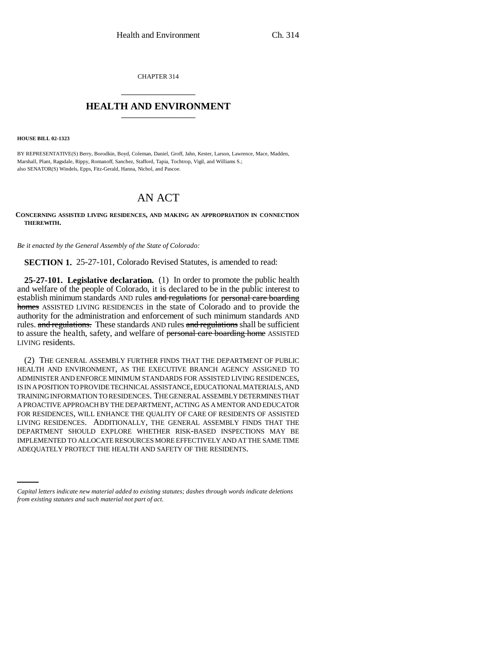CHAPTER 314 \_\_\_\_\_\_\_\_\_\_\_\_\_\_\_

## **HEALTH AND ENVIRONMENT** \_\_\_\_\_\_\_\_\_\_\_\_\_\_\_

**HOUSE BILL 02-1323**

BY REPRESENTATIVE(S) Berry, Borodkin, Boyd, Coleman, Daniel, Groff, Jahn, Kester, Larson, Lawrence, Mace, Madden, Marshall, Plant, Ragsdale, Rippy, Romanoff, Sanchez, Stafford, Tapia, Tochtrop, Vigil, and Williams S.; also SENATOR(S) Windels, Epps, Fitz-Gerald, Hanna, Nichol, and Pascoe.

# AN ACT

#### **CONCERNING ASSISTED LIVING RESIDENCES, AND MAKING AN APPROPRIATION IN CONNECTION THEREWITH.**

*Be it enacted by the General Assembly of the State of Colorado:*

**SECTION 1.** 25-27-101, Colorado Revised Statutes, is amended to read:

**25-27-101. Legislative declaration.** (1) In order to promote the public health and welfare of the people of Colorado, it is declared to be in the public interest to establish minimum standards AND rules and regulations for personal care boarding homes ASSISTED LIVING RESIDENCES in the state of Colorado and to provide the authority for the administration and enforcement of such minimum standards AND rules. and regulations. These standards AND rules and regulations shall be sufficient to assure the health, safety, and welfare of personal care boarding home ASSISTED LIVING residents.

IMPLEMENTED TO ALLOCATE RESOURCES MORE EFFECTIVELY AND AT THE SAME TIME (2) THE GENERAL ASSEMBLY FURTHER FINDS THAT THE DEPARTMENT OF PUBLIC HEALTH AND ENVIRONMENT, AS THE EXECUTIVE BRANCH AGENCY ASSIGNED TO ADMINISTER AND ENFORCE MINIMUM STANDARDS FOR ASSISTED LIVING RESIDENCES, IS IN A POSITION TO PROVIDE TECHNICAL ASSISTANCE, EDUCATIONAL MATERIALS, AND TRAINING INFORMATION TO RESIDENCES. THE GENERAL ASSEMBLY DETERMINES THAT A PROACTIVE APPROACH BY THE DEPARTMENT, ACTING AS A MENTOR AND EDUCATOR FOR RESIDENCES, WILL ENHANCE THE QUALITY OF CARE OF RESIDENTS OF ASSISTED LIVING RESIDENCES. ADDITIONALLY, THE GENERAL ASSEMBLY FINDS THAT THE DEPARTMENT SHOULD EXPLORE WHETHER RISK-BASED INSPECTIONS MAY BE ADEQUATELY PROTECT THE HEALTH AND SAFETY OF THE RESIDENTS.

*Capital letters indicate new material added to existing statutes; dashes through words indicate deletions from existing statutes and such material not part of act.*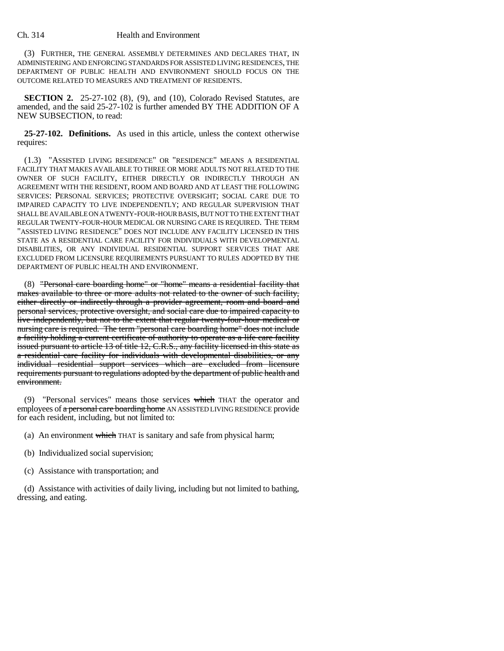(3) FURTHER, THE GENERAL ASSEMBLY DETERMINES AND DECLARES THAT, IN ADMINISTERING AND ENFORCING STANDARDS FOR ASSISTED LIVING RESIDENCES, THE DEPARTMENT OF PUBLIC HEALTH AND ENVIRONMENT SHOULD FOCUS ON THE OUTCOME RELATED TO MEASURES AND TREATMENT OF RESIDENTS.

**SECTION 2.** 25-27-102 (8), (9), and (10), Colorado Revised Statutes, are amended, and the said 25-27-102 is further amended BY THE ADDITION OF A NEW SUBSECTION, to read:

**25-27-102. Definitions.** As used in this article, unless the context otherwise requires:

(1.3) "ASSISTED LIVING RESIDENCE" OR "RESIDENCE" MEANS A RESIDENTIAL FACILITY THAT MAKES AVAILABLE TO THREE OR MORE ADULTS NOT RELATED TO THE OWNER OF SUCH FACILITY, EITHER DIRECTLY OR INDIRECTLY THROUGH AN AGREEMENT WITH THE RESIDENT, ROOM AND BOARD AND AT LEAST THE FOLLOWING SERVICES: PERSONAL SERVICES; PROTECTIVE OVERSIGHT; SOCIAL CARE DUE TO IMPAIRED CAPACITY TO LIVE INDEPENDENTLY; AND REGULAR SUPERVISION THAT SHALL BE AVAILABLE ON A TWENTY-FOUR-HOUR BASIS, BUT NOT TO THE EXTENT THAT REGULAR TWENTY-FOUR-HOUR MEDICAL OR NURSING CARE IS REQUIRED. THE TERM "ASSISTED LIVING RESIDENCE" DOES NOT INCLUDE ANY FACILITY LICENSED IN THIS STATE AS A RESIDENTIAL CARE FACILITY FOR INDIVIDUALS WITH DEVELOPMENTAL DISABILITIES, OR ANY INDIVIDUAL RESIDENTIAL SUPPORT SERVICES THAT ARE EXCLUDED FROM LICENSURE REQUIREMENTS PURSUANT TO RULES ADOPTED BY THE DEPARTMENT OF PUBLIC HEALTH AND ENVIRONMENT.

(8) "Personal care boarding home" or "home" means a residential facility that makes available to three or more adults not related to the owner of such facility, either directly or indirectly through a provider agreement, room and board and personal services, protective oversight, and social care due to impaired capacity to live independently, but not to the extent that regular twenty-four-hour medical or nursing care is required. The term "personal care boarding home" does not include a facility holding a current certificate of authority to operate as a life care facility issued pursuant to article 13 of title 12, C.R.S., any facility licensed in this state as a residential care facility for individuals with developmental disabilities, or any individual residential support services which are excluded from licensure requirements pursuant to regulations adopted by the department of public health and environment.

(9) "Personal services" means those services which THAT the operator and employees of a personal care boarding home AN ASSISTED LIVING RESIDENCE provide for each resident, including, but not limited to:

- (a) An environment which THAT is sanitary and safe from physical harm;
- (b) Individualized social supervision;
- (c) Assistance with transportation; and

(d) Assistance with activities of daily living, including but not limited to bathing, dressing, and eating.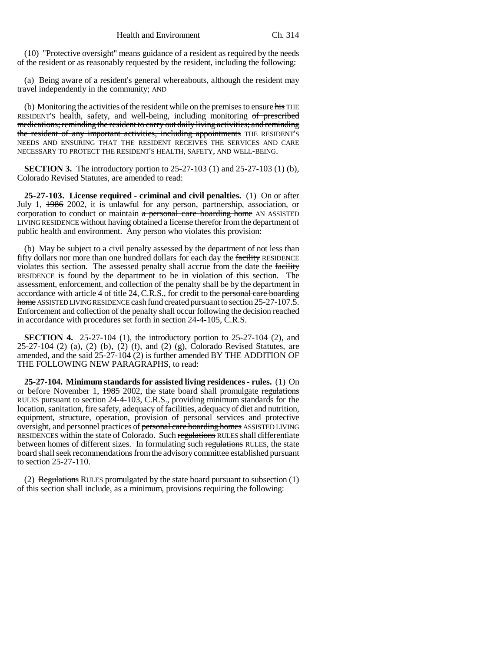(10) "Protective oversight" means guidance of a resident as required by the needs of the resident or as reasonably requested by the resident, including the following:

(a) Being aware of a resident's general whereabouts, although the resident may travel independently in the community; AND

(b) Monitoring the activities of the resident while on the premises to ensure his THE RESIDENT'S health, safety, and well-being, including monitoring of prescribed medications; reminding the resident to carry out daily living activities; and reminding the resident of any important activities, including appointments THE RESIDENT'S NEEDS AND ENSURING THAT THE RESIDENT RECEIVES THE SERVICES AND CARE NECESSARY TO PROTECT THE RESIDENT'S HEALTH, SAFETY, AND WELL-BEING.

**SECTION 3.** The introductory portion to 25-27-103 (1) and 25-27-103 (1) (b), Colorado Revised Statutes, are amended to read:

**25-27-103. License required - criminal and civil penalties.** (1) On or after July 1, 1986 2002, it is unlawful for any person, partnership, association, or corporation to conduct or maintain  $a$  personal care boarding home AN ASSISTED LIVING RESIDENCE without having obtained a license therefor from the department of public health and environment. Any person who violates this provision:

(b) May be subject to a civil penalty assessed by the department of not less than fifty dollars nor more than one hundred dollars for each day the facility RESIDENCE violates this section. The assessed penalty shall accrue from the date the facility RESIDENCE is found by the department to be in violation of this section. The assessment, enforcement, and collection of the penalty shall be by the department in accordance with article 4 of title 24, C.R.S., for credit to the personal care boarding home ASSISTED LIVING RESIDENCE cash fund created pursuant to section 25-27-107.5. Enforcement and collection of the penalty shall occur following the decision reached in accordance with procedures set forth in section 24-4-105, C.R.S.

**SECTION 4.** 25-27-104 (1), the introductory portion to 25-27-104 (2), and 25-27-104 (2) (a), (2) (b), (2) (f), and (2) (g), Colorado Revised Statutes, are amended, and the said 25-27-104 (2) is further amended BY THE ADDITION OF THE FOLLOWING NEW PARAGRAPHS, to read:

**25-27-104. Minimum standards for assisted living residences - rules.** (1) On or before November 1, 1985 2002, the state board shall promulgate regulations RULES pursuant to section 24-4-103, C.R.S., providing minimum standards for the location, sanitation, fire safety, adequacy of facilities, adequacy of diet and nutrition, equipment, structure, operation, provision of personal services and protective oversight, and personnel practices of personal care boarding homes ASSISTED LIVING RESIDENCES within the state of Colorado. Such regulations RULES shall differentiate between homes of different sizes. In formulating such regulations RULES, the state board shall seek recommendations from the advisory committee established pursuant to section 25-27-110.

(2) Regulations RULES promulgated by the state board pursuant to subsection  $(1)$ of this section shall include, as a minimum, provisions requiring the following: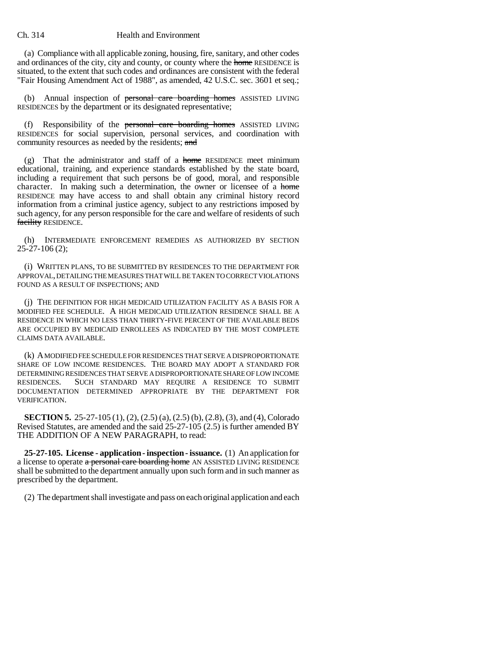(a) Compliance with all applicable zoning, housing, fire, sanitary, and other codes and ordinances of the city, city and county, or county where the home RESIDENCE is situated, to the extent that such codes and ordinances are consistent with the federal "Fair Housing Amendment Act of 1988", as amended, 42 U.S.C. sec. 3601 et seq.;

(b) Annual inspection of personal care boarding homes ASSISTED LIVING RESIDENCES by the department or its designated representative;

(f) Responsibility of the personal care boarding homes ASSISTED LIVING RESIDENCES for social supervision, personal services, and coordination with community resources as needed by the residents; and

(g) That the administrator and staff of a home RESIDENCE meet minimum educational, training, and experience standards established by the state board, including a requirement that such persons be of good, moral, and responsible character. In making such a determination, the owner or licensee of a home RESIDENCE may have access to and shall obtain any criminal history record information from a criminal justice agency, subject to any restrictions imposed by such agency, for any person responsible for the care and welfare of residents of such facility RESIDENCE.

(h) INTERMEDIATE ENFORCEMENT REMEDIES AS AUTHORIZED BY SECTION  $25 - 27 - 106(2)$ ;

(i) WRITTEN PLANS, TO BE SUBMITTED BY RESIDENCES TO THE DEPARTMENT FOR APPROVAL, DETAILING THE MEASURES THAT WILL BE TAKEN TO CORRECT VIOLATIONS FOUND AS A RESULT OF INSPECTIONS; AND

(j) THE DEFINITION FOR HIGH MEDICAID UTILIZATION FACILITY AS A BASIS FOR A MODIFIED FEE SCHEDULE. A HIGH MEDICAID UTILIZATION RESIDENCE SHALL BE A RESIDENCE IN WHICH NO LESS THAN THIRTY-FIVE PERCENT OF THE AVAILABLE BEDS ARE OCCUPIED BY MEDICAID ENROLLEES AS INDICATED BY THE MOST COMPLETE CLAIMS DATA AVAILABLE.

(k) A MODIFIED FEE SCHEDULE FOR RESIDENCES THAT SERVE A DISPROPORTIONATE SHARE OF LOW INCOME RESIDENCES. THE BOARD MAY ADOPT A STANDARD FOR DETERMINING RESIDENCES THAT SERVE A DISPROPORTIONATE SHARE OF LOW INCOME RESIDENCES. SUCH STANDARD MAY REQUIRE A RESIDENCE TO SUBMIT DOCUMENTATION DETERMINED APPROPRIATE BY THE DEPARTMENT FOR VERIFICATION.

**SECTION 5.** 25-27-105 (1), (2), (2.5) (a), (2.5) (b), (2.8), (3), and (4), Colorado Revised Statutes, are amended and the said 25-27-105 (2.5) is further amended BY THE ADDITION OF A NEW PARAGRAPH, to read:

**25-27-105. License - application - inspection - issuance.** (1) An application for a license to operate a personal care boarding home AN ASSISTED LIVING RESIDENCE shall be submitted to the department annually upon such form and in such manner as prescribed by the department.

(2) The department shall investigate and pass on each original application and each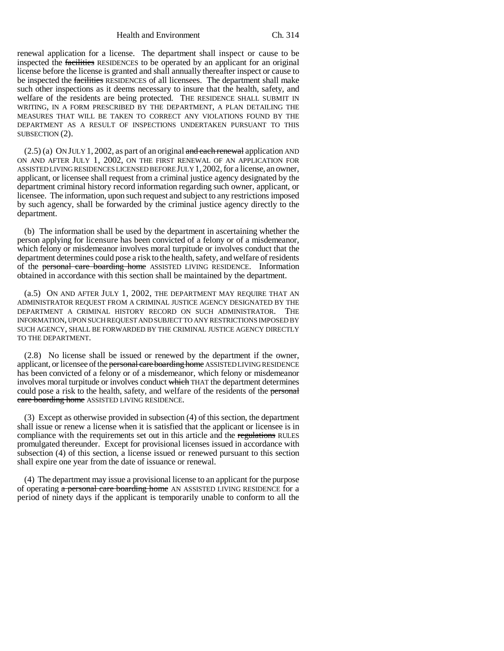Health and Environment Ch. 314

renewal application for a license. The department shall inspect or cause to be inspected the facilities RESIDENCES to be operated by an applicant for an original license before the license is granted and shall annually thereafter inspect or cause to be inspected the facilities RESIDENCES of all licensees. The department shall make such other inspections as it deems necessary to insure that the health, safety, and welfare of the residents are being protected. THE RESIDENCE SHALL SUBMIT IN WRITING, IN A FORM PRESCRIBED BY THE DEPARTMENT, A PLAN DETAILING THE MEASURES THAT WILL BE TAKEN TO CORRECT ANY VIOLATIONS FOUND BY THE DEPARTMENT AS A RESULT OF INSPECTIONS UNDERTAKEN PURSUANT TO THIS SUBSECTION (2).

 $(2.5)$  (a) ON JULY 1, 2002, as part of an original and each renewal application AND ON AND AFTER JULY 1, 2002, ON THE FIRST RENEWAL OF AN APPLICATION FOR ASSISTED LIVING RESIDENCES LICENSED BEFORE JULY 1,2002, for a license, an owner, applicant, or licensee shall request from a criminal justice agency designated by the department criminal history record information regarding such owner, applicant, or licensee. The information, upon such request and subject to any restrictions imposed by such agency, shall be forwarded by the criminal justice agency directly to the department.

(b) The information shall be used by the department in ascertaining whether the person applying for licensure has been convicted of a felony or of a misdemeanor, which felony or misdemeanor involves moral turpitude or involves conduct that the department determines could pose a risk to the health, safety, and welfare of residents of the personal care boarding home ASSISTED LIVING RESIDENCE. Information obtained in accordance with this section shall be maintained by the department.

(a.5) ON AND AFTER JULY 1, 2002, THE DEPARTMENT MAY REQUIRE THAT AN ADMINISTRATOR REQUEST FROM A CRIMINAL JUSTICE AGENCY DESIGNATED BY THE DEPARTMENT A CRIMINAL HISTORY RECORD ON SUCH ADMINISTRATOR. THE INFORMATION, UPON SUCH REQUEST AND SUBJECT TO ANY RESTRICTIONS IMPOSED BY SUCH AGENCY, SHALL BE FORWARDED BY THE CRIMINAL JUSTICE AGENCY DIRECTLY TO THE DEPARTMENT.

(2.8) No license shall be issued or renewed by the department if the owner, applicant, or licensee of the personal care boarding home ASSISTED LIVING RESIDENCE has been convicted of a felony or of a misdemeanor, which felony or misdemeanor involves moral turpitude or involves conduct which THAT the department determines could pose a risk to the health, safety, and welfare of the residents of the personal care boarding home ASSISTED LIVING RESIDENCE.

(3) Except as otherwise provided in subsection (4) of this section, the department shall issue or renew a license when it is satisfied that the applicant or licensee is in compliance with the requirements set out in this article and the regulations RULES promulgated thereunder. Except for provisional licenses issued in accordance with subsection (4) of this section, a license issued or renewed pursuant to this section shall expire one year from the date of issuance or renewal.

(4) The department may issue a provisional license to an applicant for the purpose of operating a personal care boarding home AN ASSISTED LIVING RESIDENCE for a period of ninety days if the applicant is temporarily unable to conform to all the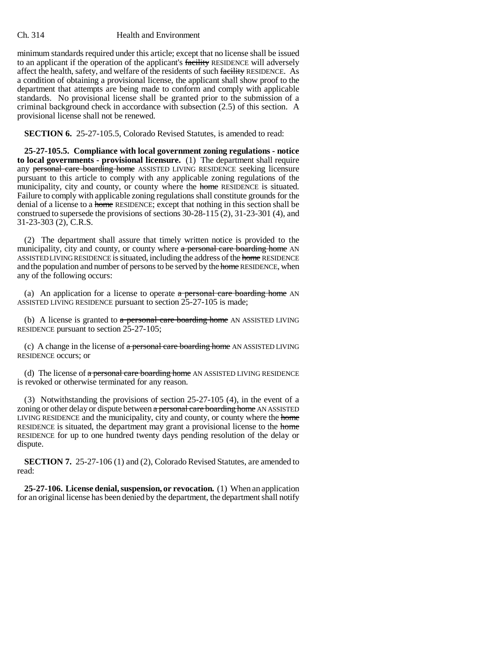minimum standards required under this article; except that no license shall be issued to an applicant if the operation of the applicant's facility RESIDENCE will adversely affect the health, safety, and welfare of the residents of such facility RESIDENCE. As a condition of obtaining a provisional license, the applicant shall show proof to the department that attempts are being made to conform and comply with applicable standards. No provisional license shall be granted prior to the submission of a criminal background check in accordance with subsection (2.5) of this section. A provisional license shall not be renewed.

**SECTION 6.** 25-27-105.5, Colorado Revised Statutes, is amended to read:

**25-27-105.5. Compliance with local government zoning regulations - notice to local governments - provisional licensure.** (1) The department shall require any personal care boarding home ASSISTED LIVING RESIDENCE seeking licensure pursuant to this article to comply with any applicable zoning regulations of the municipality, city and county, or county where the home RESIDENCE is situated. Failure to comply with applicable zoning regulations shall constitute grounds for the denial of a license to a home RESIDENCE; except that nothing in this section shall be construed to supersede the provisions of sections  $30-28-115(2)$ ,  $31-23-301(4)$ , and 31-23-303 (2), C.R.S.

(2) The department shall assure that timely written notice is provided to the municipality, city and county, or county where a personal care boarding home AN ASSISTED LIVING RESIDENCE is situated, including the address of the home RESIDENCE and the population and number of persons to be served by the home RESIDENCE, when any of the following occurs:

(a) An application for a license to operate  $a$  personal care boarding home AN ASSISTED LIVING RESIDENCE pursuant to section 25-27-105 is made;

(b) A license is granted to  $a$  personal care boarding home AN ASSISTED LIVING RESIDENCE pursuant to section 25-27-105;

(c) A change in the license of  $a$  personal care boarding home AN ASSISTED LIVING RESIDENCE occurs; or

(d) The license of a personal care boarding home AN ASSISTED LIVING RESIDENCE is revoked or otherwise terminated for any reason.

(3) Notwithstanding the provisions of section 25-27-105 (4), in the event of a zoning or other delay or dispute between a personal care boarding home AN ASSISTED LIVING RESIDENCE and the municipality, city and county, or county where the home RESIDENCE is situated, the department may grant a provisional license to the home RESIDENCE for up to one hundred twenty days pending resolution of the delay or dispute.

**SECTION 7.** 25-27-106 (1) and (2), Colorado Revised Statutes, are amended to read:

**25-27-106. License denial, suspension, or revocation.** (1) When an application for an original license has been denied by the department, the department shall notify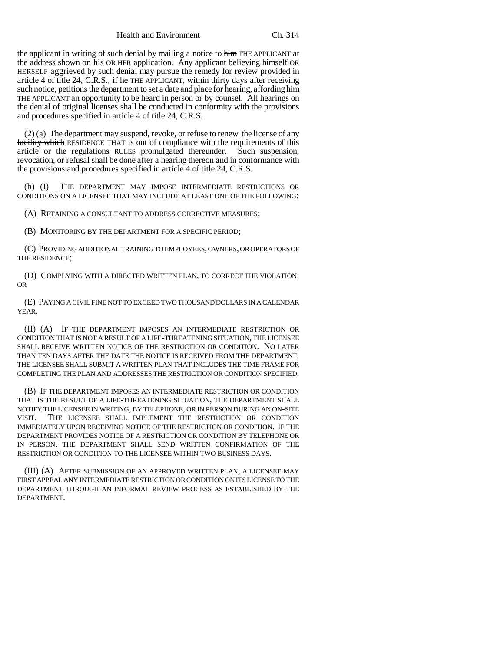Health and Environment Ch. 314

the applicant in writing of such denial by mailing a notice to him THE APPLICANT at the address shown on his OR HER application. Any applicant believing himself OR HERSELF aggrieved by such denial may pursue the remedy for review provided in article 4 of title 24, C.R.S., if he THE APPLICANT, within thirty days after receiving such notice, petitions the department to set a date and place for hearing, affording him THE APPLICANT an opportunity to be heard in person or by counsel. All hearings on the denial of original licenses shall be conducted in conformity with the provisions and procedures specified in article 4 of title 24, C.R.S.

(2) (a) The department may suspend, revoke, or refuse to renew the license of any facility which RESIDENCE THAT is out of compliance with the requirements of this article or the regulations RULES promulgated thereunder. Such suspension, revocation, or refusal shall be done after a hearing thereon and in conformance with the provisions and procedures specified in article 4 of title 24, C.R.S.

(b) (I) THE DEPARTMENT MAY IMPOSE INTERMEDIATE RESTRICTIONS OR CONDITIONS ON A LICENSEE THAT MAY INCLUDE AT LEAST ONE OF THE FOLLOWING:

(A) RETAINING A CONSULTANT TO ADDRESS CORRECTIVE MEASURES;

(B) MONITORING BY THE DEPARTMENT FOR A SPECIFIC PERIOD;

(C) PROVIDING ADDITIONAL TRAINING TO EMPLOYEES, OWNERS, OR OPERATORS OF THE RESIDENCE;

(D) COMPLYING WITH A DIRECTED WRITTEN PLAN, TO CORRECT THE VIOLATION; OR

(E) PAYING A CIVIL FINE NOT TO EXCEED TWO THOUSAND DOLLARS IN A CALENDAR YEAR.

(II) (A) IF THE DEPARTMENT IMPOSES AN INTERMEDIATE RESTRICTION OR CONDITION THAT IS NOT A RESULT OF A LIFE-THREATENING SITUATION, THE LICENSEE SHALL RECEIVE WRITTEN NOTICE OF THE RESTRICTION OR CONDITION. NO LATER THAN TEN DAYS AFTER THE DATE THE NOTICE IS RECEIVED FROM THE DEPARTMENT, THE LICENSEE SHALL SUBMIT A WRITTEN PLAN THAT INCLUDES THE TIME FRAME FOR COMPLETING THE PLAN AND ADDRESSES THE RESTRICTION OR CONDITION SPECIFIED.

(B) IF THE DEPARTMENT IMPOSES AN INTERMEDIATE RESTRICTION OR CONDITION THAT IS THE RESULT OF A LIFE-THREATENING SITUATION, THE DEPARTMENT SHALL NOTIFY THE LICENSEE IN WRITING, BY TELEPHONE, OR IN PERSON DURING AN ON-SITE VISIT. THE LICENSEE SHALL IMPLEMENT THE RESTRICTION OR CONDITION IMMEDIATELY UPON RECEIVING NOTICE OF THE RESTRICTION OR CONDITION. IF THE DEPARTMENT PROVIDES NOTICE OF A RESTRICTION OR CONDITION BY TELEPHONE OR IN PERSON, THE DEPARTMENT SHALL SEND WRITTEN CONFIRMATION OF THE RESTRICTION OR CONDITION TO THE LICENSEE WITHIN TWO BUSINESS DAYS.

(III) (A) AFTER SUBMISSION OF AN APPROVED WRITTEN PLAN, A LICENSEE MAY FIRST APPEAL ANY INTERMEDIATE RESTRICTION OR CONDITION ON ITS LICENSE TO THE DEPARTMENT THROUGH AN INFORMAL REVIEW PROCESS AS ESTABLISHED BY THE DEPARTMENT.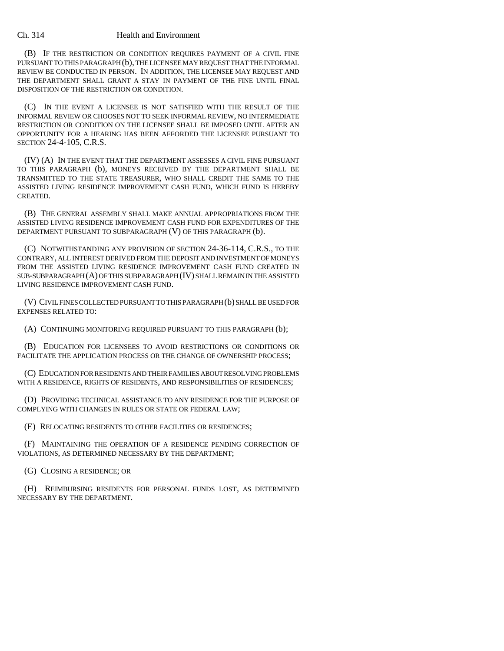(B) IF THE RESTRICTION OR CONDITION REQUIRES PAYMENT OF A CIVIL FINE PURSUANT TO THIS PARAGRAPH (b), THE LICENSEE MAY REQUEST THAT THE INFORMAL REVIEW BE CONDUCTED IN PERSON. IN ADDITION, THE LICENSEE MAY REQUEST AND THE DEPARTMENT SHALL GRANT A STAY IN PAYMENT OF THE FINE UNTIL FINAL DISPOSITION OF THE RESTRICTION OR CONDITION.

(C) IN THE EVENT A LICENSEE IS NOT SATISFIED WITH THE RESULT OF THE INFORMAL REVIEW OR CHOOSES NOT TO SEEK INFORMAL REVIEW, NO INTERMEDIATE RESTRICTION OR CONDITION ON THE LICENSEE SHALL BE IMPOSED UNTIL AFTER AN OPPORTUNITY FOR A HEARING HAS BEEN AFFORDED THE LICENSEE PURSUANT TO SECTION 24-4-105, C.R.S.

(IV) (A) IN THE EVENT THAT THE DEPARTMENT ASSESSES A CIVIL FINE PURSUANT TO THIS PARAGRAPH (b), MONEYS RECEIVED BY THE DEPARTMENT SHALL BE TRANSMITTED TO THE STATE TREASURER, WHO SHALL CREDIT THE SAME TO THE ASSISTED LIVING RESIDENCE IMPROVEMENT CASH FUND, WHICH FUND IS HEREBY CREATED.

(B) THE GENERAL ASSEMBLY SHALL MAKE ANNUAL APPROPRIATIONS FROM THE ASSISTED LIVING RESIDENCE IMPROVEMENT CASH FUND FOR EXPENDITURES OF THE DEPARTMENT PURSUANT TO SUBPARAGRAPH (V) OF THIS PARAGRAPH (b).

(C) NOTWITHSTANDING ANY PROVISION OF SECTION 24-36-114, C.R.S., TO THE CONTRARY, ALL INTEREST DERIVED FROM THE DEPOSIT AND INVESTMENT OF MONEYS FROM THE ASSISTED LIVING RESIDENCE IMPROVEMENT CASH FUND CREATED IN SUB-SUBPARAGRAPH (A) OF THIS SUBPARAGRAPH (IV) SHALL REMAIN IN THE ASSISTED LIVING RESIDENCE IMPROVEMENT CASH FUND.

(V) CIVIL FINES COLLECTED PURSUANT TO THIS PARAGRAPH (b) SHALL BE USED FOR EXPENSES RELATED TO:

(A) CONTINUING MONITORING REQUIRED PURSUANT TO THIS PARAGRAPH (b);

(B) EDUCATION FOR LICENSEES TO AVOID RESTRICTIONS OR CONDITIONS OR FACILITATE THE APPLICATION PROCESS OR THE CHANGE OF OWNERSHIP PROCESS;

(C) EDUCATION FOR RESIDENTS AND THEIR FAMILIES ABOUT RESOLVING PROBLEMS WITH A RESIDENCE, RIGHTS OF RESIDENTS, AND RESPONSIBILITIES OF RESIDENCES;

(D) PROVIDING TECHNICAL ASSISTANCE TO ANY RESIDENCE FOR THE PURPOSE OF COMPLYING WITH CHANGES IN RULES OR STATE OR FEDERAL LAW;

(E) RELOCATING RESIDENTS TO OTHER FACILITIES OR RESIDENCES;

(F) MAINTAINING THE OPERATION OF A RESIDENCE PENDING CORRECTION OF VIOLATIONS, AS DETERMINED NECESSARY BY THE DEPARTMENT;

(G) CLOSING A RESIDENCE; OR

(H) REIMBURSING RESIDENTS FOR PERSONAL FUNDS LOST, AS DETERMINED NECESSARY BY THE DEPARTMENT.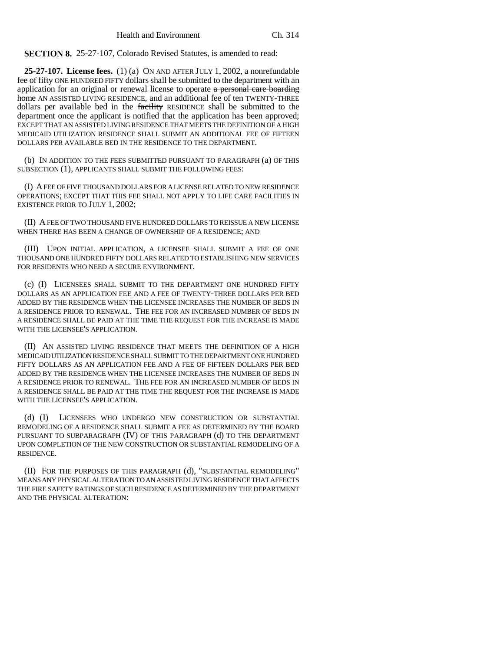**SECTION 8.** 25-27-107, Colorado Revised Statutes, is amended to read:

**25-27-107. License fees.** (1) (a) ON AND AFTER JULY 1, 2002, a nonrefundable fee of fifty ONE HUNDRED FIFTY dollars shall be submitted to the department with an application for an original or renewal license to operate a personal care boarding home AN ASSISTED LIVING RESIDENCE, and an additional fee of ten TWENTY-THREE dollars per available bed in the facility RESIDENCE shall be submitted to the department once the applicant is notified that the application has been approved; EXCEPT THAT AN ASSISTED LIVING RESIDENCE THAT MEETS THE DEFINITION OF A HIGH MEDICAID UTILIZATION RESIDENCE SHALL SUBMIT AN ADDITIONAL FEE OF FIFTEEN DOLLARS PER AVAILABLE BED IN THE RESIDENCE TO THE DEPARTMENT.

(b) IN ADDITION TO THE FEES SUBMITTED PURSUANT TO PARAGRAPH (a) OF THIS SUBSECTION (1), APPLICANTS SHALL SUBMIT THE FOLLOWING FEES:

(I) A FEE OF FIVE THOUSAND DOLLARS FOR A LICENSE RELATED TO NEW RESIDENCE OPERATIONS; EXCEPT THAT THIS FEE SHALL NOT APPLY TO LIFE CARE FACILITIES IN EXISTENCE PRIOR TO JULY 1, 2002;

(II) A FEE OF TWO THOUSAND FIVE HUNDRED DOLLARS TO REISSUE A NEW LICENSE WHEN THERE HAS BEEN A CHANGE OF OWNERSHIP OF A RESIDENCE; AND

(III) UPON INITIAL APPLICATION, A LICENSEE SHALL SUBMIT A FEE OF ONE THOUSAND ONE HUNDRED FIFTY DOLLARS RELATED TO ESTABLISHING NEW SERVICES FOR RESIDENTS WHO NEED A SECURE ENVIRONMENT.

(c) (I) LICENSEES SHALL SUBMIT TO THE DEPARTMENT ONE HUNDRED FIFTY DOLLARS AS AN APPLICATION FEE AND A FEE OF TWENTY-THREE DOLLARS PER BED ADDED BY THE RESIDENCE WHEN THE LICENSEE INCREASES THE NUMBER OF BEDS IN A RESIDENCE PRIOR TO RENEWAL. THE FEE FOR AN INCREASED NUMBER OF BEDS IN A RESIDENCE SHALL BE PAID AT THE TIME THE REQUEST FOR THE INCREASE IS MADE WITH THE LICENSEE'S APPLICATION.

(II) AN ASSISTED LIVING RESIDENCE THAT MEETS THE DEFINITION OF A HIGH MEDICAID UTILIZATION RESIDENCE SHALL SUBMIT TO THE DEPARTMENT ONE HUNDRED FIFTY DOLLARS AS AN APPLICATION FEE AND A FEE OF FIFTEEN DOLLARS PER BED ADDED BY THE RESIDENCE WHEN THE LICENSEE INCREASES THE NUMBER OF BEDS IN A RESIDENCE PRIOR TO RENEWAL. THE FEE FOR AN INCREASED NUMBER OF BEDS IN A RESIDENCE SHALL BE PAID AT THE TIME THE REQUEST FOR THE INCREASE IS MADE WITH THE LICENSEE'S APPLICATION.

(d) (I) LICENSEES WHO UNDERGO NEW CONSTRUCTION OR SUBSTANTIAL REMODELING OF A RESIDENCE SHALL SUBMIT A FEE AS DETERMINED BY THE BOARD PURSUANT TO SUBPARAGRAPH (IV) OF THIS PARAGRAPH (d) TO THE DEPARTMENT UPON COMPLETION OF THE NEW CONSTRUCTION OR SUBSTANTIAL REMODELING OF A RESIDENCE.

(II) FOR THE PURPOSES OF THIS PARAGRAPH (d), "SUBSTANTIAL REMODELING" MEANS ANY PHYSICAL ALTERATION TO AN ASSISTED LIVING RESIDENCE THAT AFFECTS THE FIRE SAFETY RATINGS OF SUCH RESIDENCE AS DETERMINED BY THE DEPARTMENT AND THE PHYSICAL ALTERATION: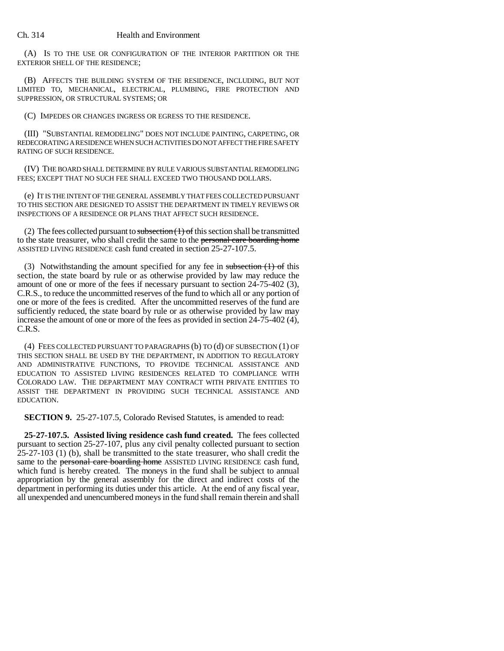(A) IS TO THE USE OR CONFIGURATION OF THE INTERIOR PARTITION OR THE EXTERIOR SHELL OF THE RESIDENCE;

(B) AFFECTS THE BUILDING SYSTEM OF THE RESIDENCE, INCLUDING, BUT NOT LIMITED TO, MECHANICAL, ELECTRICAL, PLUMBING, FIRE PROTECTION AND SUPPRESSION, OR STRUCTURAL SYSTEMS; OR

(C) IMPEDES OR CHANGES INGRESS OR EGRESS TO THE RESIDENCE.

(III) "SUBSTANTIAL REMODELING" DOES NOT INCLUDE PAINTING, CARPETING, OR REDECORATING A RESIDENCE WHEN SUCH ACTIVITIES DO NOT AFFECT THE FIRE SAFETY RATING OF SUCH RESIDENCE.

(IV) THE BOARD SHALL DETERMINE BY RULE VARIOUS SUBSTANTIAL REMODELING FEES; EXCEPT THAT NO SUCH FEE SHALL EXCEED TWO THOUSAND DOLLARS.

(e) IT IS THE INTENT OF THE GENERAL ASSEMBLY THAT FEES COLLECTED PURSUANT TO THIS SECTION ARE DESIGNED TO ASSIST THE DEPARTMENT IN TIMELY REVIEWS OR INSPECTIONS OF A RESIDENCE OR PLANS THAT AFFECT SUCH RESIDENCE.

(2) The fees collected pursuant to subsection  $(1)$  of this section shall be transmitted to the state treasurer, who shall credit the same to the personal care boarding home ASSISTED LIVING RESIDENCE cash fund created in section 25-27-107.5.

(3) Notwithstanding the amount specified for any fee in subsection  $(1)$  of this section, the state board by rule or as otherwise provided by law may reduce the amount of one or more of the fees if necessary pursuant to section 24-75-402 (3), C.R.S., to reduce the uncommitted reserves of the fund to which all or any portion of one or more of the fees is credited. After the uncommitted reserves of the fund are sufficiently reduced, the state board by rule or as otherwise provided by law may increase the amount of one or more of the fees as provided in section 24-75-402 (4), C.R.S.

(4) FEES COLLECTED PURSUANT TO PARAGRAPHS (b) TO (d) OF SUBSECTION (1) OF THIS SECTION SHALL BE USED BY THE DEPARTMENT, IN ADDITION TO REGULATORY AND ADMINISTRATIVE FUNCTIONS, TO PROVIDE TECHNICAL ASSISTANCE AND EDUCATION TO ASSISTED LIVING RESIDENCES RELATED TO COMPLIANCE WITH COLORADO LAW. THE DEPARTMENT MAY CONTRACT WITH PRIVATE ENTITIES TO ASSIST THE DEPARTMENT IN PROVIDING SUCH TECHNICAL ASSISTANCE AND EDUCATION.

**SECTION 9.** 25-27-107.5, Colorado Revised Statutes, is amended to read:

**25-27-107.5. Assisted living residence cash fund created.** The fees collected pursuant to section 25-27-107, plus any civil penalty collected pursuant to section 25-27-103 (1) (b), shall be transmitted to the state treasurer, who shall credit the same to the personal care boarding home ASSISTED LIVING RESIDENCE cash fund, which fund is hereby created. The moneys in the fund shall be subject to annual appropriation by the general assembly for the direct and indirect costs of the department in performing its duties under this article. At the end of any fiscal year, all unexpended and unencumbered moneys in the fund shall remain therein and shall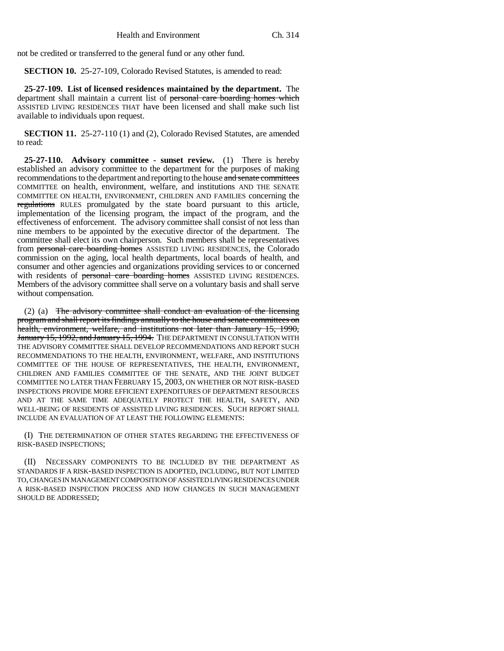not be credited or transferred to the general fund or any other fund.

**SECTION 10.** 25-27-109, Colorado Revised Statutes, is amended to read:

**25-27-109. List of licensed residences maintained by the department.** The department shall maintain a current list of personal care boarding homes which ASSISTED LIVING RESIDENCES THAT have been licensed and shall make such list available to individuals upon request.

**SECTION 11.** 25-27-110 (1) and (2), Colorado Revised Statutes, are amended to read:

**25-27-110. Advisory committee - sunset review.** (1) There is hereby established an advisory committee to the department for the purposes of making recommendations to the department and reporting to the house and senate committees COMMITTEE on health, environment, welfare, and institutions AND THE SENATE COMMITTEE ON HEALTH, ENVIRONMENT, CHILDREN AND FAMILIES concerning the regulations RULES promulgated by the state board pursuant to this article, implementation of the licensing program, the impact of the program, and the effectiveness of enforcement. The advisory committee shall consist of not less than nine members to be appointed by the executive director of the department. The committee shall elect its own chairperson. Such members shall be representatives from personal care boarding homes ASSISTED LIVING RESIDENCES, the Colorado commission on the aging, local health departments, local boards of health, and consumer and other agencies and organizations providing services to or concerned with residents of personal care boarding homes ASSISTED LIVING RESIDENCES. Members of the advisory committee shall serve on a voluntary basis and shall serve without compensation.

(2) (a) The advisory committee shall conduct an evaluation of the licensing program and shall report its findings annually to the house and senate committees on health, environment, welfare, and institutions not later than January 15, 1990, January 15, 1992, and January 15, 1994. THE DEPARTMENT IN CONSULTATION WITH THE ADVISORY COMMITTEE SHALL DEVELOP RECOMMENDATIONS AND REPORT SUCH RECOMMENDATIONS TO THE HEALTH, ENVIRONMENT, WELFARE, AND INSTITUTIONS COMMITTEE OF THE HOUSE OF REPRESENTATIVES, THE HEALTH, ENVIRONMENT, CHILDREN AND FAMILIES COMMITTEE OF THE SENATE, AND THE JOINT BUDGET COMMITTEE NO LATER THAN FEBRUARY 15, 2003, ON WHETHER OR NOT RISK-BASED INSPECTIONS PROVIDE MORE EFFICIENT EXPENDITURES OF DEPARTMENT RESOURCES AND AT THE SAME TIME ADEQUATELY PROTECT THE HEALTH, SAFETY, AND WELL-BEING OF RESIDENTS OF ASSISTED LIVING RESIDENCES. SUCH REPORT SHALL INCLUDE AN EVALUATION OF AT LEAST THE FOLLOWING ELEMENTS:

(I) THE DETERMINATION OF OTHER STATES REGARDING THE EFFECTIVENESS OF RISK-BASED INSPECTIONS;

(II) NECESSARY COMPONENTS TO BE INCLUDED BY THE DEPARTMENT AS STANDARDS IF A RISK-BASED INSPECTION IS ADOPTED, INCLUDING, BUT NOT LIMITED TO, CHANGES IN MANAGEMENT COMPOSITION OF ASSISTED LIVING RESIDENCES UNDER A RISK-BASED INSPECTION PROCESS AND HOW CHANGES IN SUCH MANAGEMENT SHOULD BE ADDRESSED;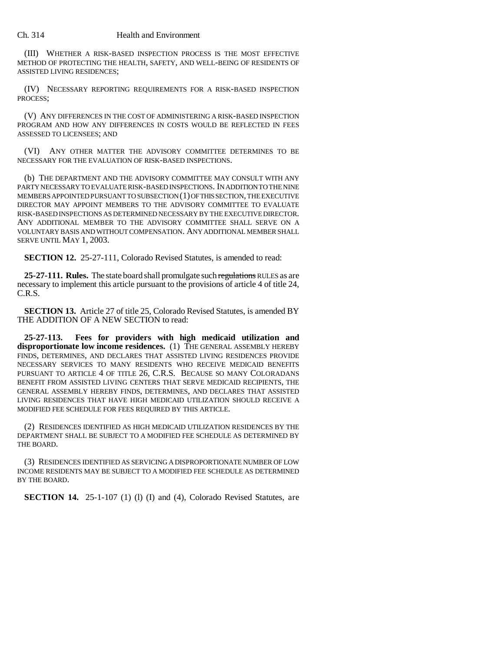(III) WHETHER A RISK-BASED INSPECTION PROCESS IS THE MOST EFFECTIVE METHOD OF PROTECTING THE HEALTH, SAFETY, AND WELL-BEING OF RESIDENTS OF ASSISTED LIVING RESIDENCES;

(IV) NECESSARY REPORTING REQUIREMENTS FOR A RISK-BASED INSPECTION PROCESS;

(V) ANY DIFFERENCES IN THE COST OF ADMINISTERING A RISK-BASED INSPECTION PROGRAM AND HOW ANY DIFFERENCES IN COSTS WOULD BE REFLECTED IN FEES ASSESSED TO LICENSEES; AND

(VI) ANY OTHER MATTER THE ADVISORY COMMITTEE DETERMINES TO BE NECESSARY FOR THE EVALUATION OF RISK-BASED INSPECTIONS.

(b) THE DEPARTMENT AND THE ADVISORY COMMITTEE MAY CONSULT WITH ANY PARTY NECESSARY TO EVALUATE RISK-BASED INSPECTIONS. IN ADDITION TO THE NINE MEMBERS APPOINTED PURSUANT TO SUBSECTION (1) OF THIS SECTION, THE EXECUTIVE DIRECTOR MAY APPOINT MEMBERS TO THE ADVISORY COMMITTEE TO EVALUATE RISK-BASED INSPECTIONS AS DETERMINED NECESSARY BY THE EXECUTIVE DIRECTOR. ANY ADDITIONAL MEMBER TO THE ADVISORY COMMITTEE SHALL SERVE ON A VOLUNTARY BASIS AND WITHOUT COMPENSATION. ANY ADDITIONAL MEMBER SHALL SERVE UNTIL MAY 1, 2003.

**SECTION 12.** 25-27-111, Colorado Revised Statutes, is amended to read:

**25-27-111. Rules.** The state board shall promulgate such regulations RULES as are necessary to implement this article pursuant to the provisions of article 4 of title 24, C.R.S.

**SECTION 13.** Article 27 of title 25, Colorado Revised Statutes, is amended BY THE ADDITION OF A NEW SECTION to read:

**25-27-113. Fees for providers with high medicaid utilization and** disproportionate low income residences. (1) THE GENERAL ASSEMBLY HEREBY FINDS, DETERMINES, AND DECLARES THAT ASSISTED LIVING RESIDENCES PROVIDE NECESSARY SERVICES TO MANY RESIDENTS WHO RECEIVE MEDICAID BENEFITS PURSUANT TO ARTICLE 4 OF TITLE 26, C.R.S. BECAUSE SO MANY COLORADANS BENEFIT FROM ASSISTED LIVING CENTERS THAT SERVE MEDICAID RECIPIENTS, THE GENERAL ASSEMBLY HEREBY FINDS, DETERMINES, AND DECLARES THAT ASSISTED LIVING RESIDENCES THAT HAVE HIGH MEDICAID UTILIZATION SHOULD RECEIVE A MODIFIED FEE SCHEDULE FOR FEES REQUIRED BY THIS ARTICLE.

(2) RESIDENCES IDENTIFIED AS HIGH MEDICAID UTILIZATION RESIDENCES BY THE DEPARTMENT SHALL BE SUBJECT TO A MODIFIED FEE SCHEDULE AS DETERMINED BY THE BOARD.

(3) RESIDENCES IDENTIFIED AS SERVICING A DISPROPORTIONATE NUMBER OF LOW INCOME RESIDENTS MAY BE SUBJECT TO A MODIFIED FEE SCHEDULE AS DETERMINED BY THE BOARD.

**SECTION 14.** 25-1-107 (1) (1) (I) and (4), Colorado Revised Statutes, are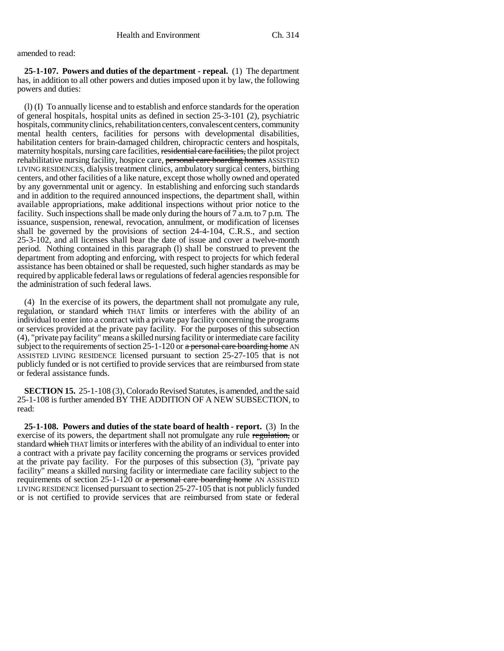amended to read:

**25-1-107. Powers and duties of the department - repeal.** (1) The department has, in addition to all other powers and duties imposed upon it by law, the following powers and duties:

(l) (I) To annually license and to establish and enforce standards for the operation of general hospitals, hospital units as defined in section 25-3-101 (2), psychiatric hospitals, community clinics, rehabilitation centers, convalescent centers, community mental health centers, facilities for persons with developmental disabilities, habilitation centers for brain-damaged children, chiropractic centers and hospitals, maternity hospitals, nursing care facilities, residential care facilities, the pilot project rehabilitative nursing facility, hospice care, personal care boarding homes ASSISTED LIVING RESIDENCES, dialysis treatment clinics, ambulatory surgical centers, birthing centers, and other facilities of a like nature, except those wholly owned and operated by any governmental unit or agency. In establishing and enforcing such standards and in addition to the required announced inspections, the department shall, within available appropriations, make additional inspections without prior notice to the facility. Such inspections shall be made only during the hours of 7 a.m. to 7 p.m. The issuance, suspension, renewal, revocation, annulment, or modification of licenses shall be governed by the provisions of section 24-4-104, C.R.S., and section 25-3-102, and all licenses shall bear the date of issue and cover a twelve-month period. Nothing contained in this paragraph (l) shall be construed to prevent the department from adopting and enforcing, with respect to projects for which federal assistance has been obtained or shall be requested, such higher standards as may be required by applicable federal laws or regulations of federal agencies responsible for the administration of such federal laws.

(4) In the exercise of its powers, the department shall not promulgate any rule, regulation, or standard which THAT limits or interferes with the ability of an individual to enter into a contract with a private pay facility concerning the programs or services provided at the private pay facility. For the purposes of this subsection (4), "private pay facility" means a skilled nursing facility or intermediate care facility subject to the requirements of section  $25$ -1-120 or a personal care boarding home AN ASSISTED LIVING RESIDENCE licensed pursuant to section 25-27-105 that is not publicly funded or is not certified to provide services that are reimbursed from state or federal assistance funds.

**SECTION 15.** 25-1-108 (3), Colorado Revised Statutes, is amended, and the said 25-1-108 is further amended BY THE ADDITION OF A NEW SUBSECTION, to read:

**25-1-108. Powers and duties of the state board of health - report.** (3) In the exercise of its powers, the department shall not promulgate any rule regulation, or standard which THAT limits or interferes with the ability of an individual to enter into a contract with a private pay facility concerning the programs or services provided at the private pay facility. For the purposes of this subsection (3), "private pay facility" means a skilled nursing facility or intermediate care facility subject to the requirements of section  $25$ -1-120 or a personal care boarding home AN ASSISTED LIVING RESIDENCE licensed pursuant to section 25-27-105 that is not publicly funded or is not certified to provide services that are reimbursed from state or federal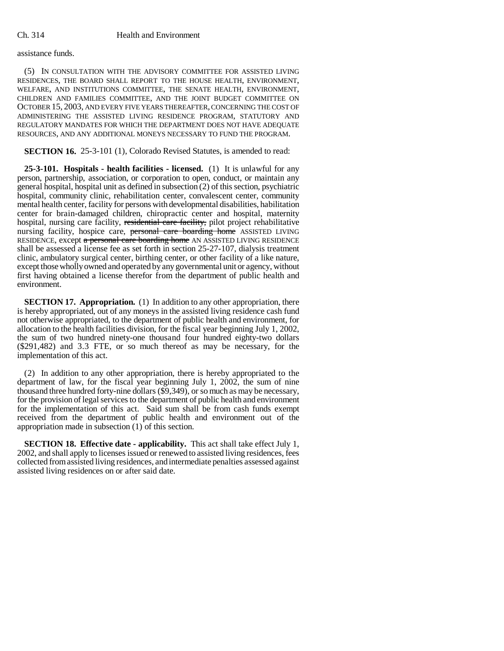### assistance funds.

(5) IN CONSULTATION WITH THE ADVISORY COMMITTEE FOR ASSISTED LIVING RESIDENCES, THE BOARD SHALL REPORT TO THE HOUSE HEALTH, ENVIRONMENT, WELFARE, AND INSTITUTIONS COMMITTEE, THE SENATE HEALTH, ENVIRONMENT, CHILDREN AND FAMILIES COMMITTEE, AND THE JOINT BUDGET COMMITTEE ON OCTOBER 15, 2003, AND EVERY FIVE YEARS THEREAFTER, CONCERNING THE COST OF ADMINISTERING THE ASSISTED LIVING RESIDENCE PROGRAM, STATUTORY AND REGULATORY MANDATES FOR WHICH THE DEPARTMENT DOES NOT HAVE ADEQUATE RESOURCES, AND ANY ADDITIONAL MONEYS NECESSARY TO FUND THE PROGRAM.

**SECTION 16.** 25-3-101 (1), Colorado Revised Statutes, is amended to read:

**25-3-101. Hospitals - health facilities - licensed.** (1) It is unlawful for any person, partnership, association, or corporation to open, conduct, or maintain any general hospital, hospital unit as defined in subsection (2) of this section, psychiatric hospital, community clinic, rehabilitation center, convalescent center, community mental health center, facility for persons with developmental disabilities, habilitation center for brain-damaged children, chiropractic center and hospital, maternity hospital, nursing care facility, residential care facility, pilot project rehabilitative nursing facility, hospice care, personal care boarding home ASSISTED LIVING RESIDENCE, except a personal care boarding home AN ASSISTED LIVING RESIDENCE shall be assessed a license fee as set forth in section 25-27-107, dialysis treatment clinic, ambulatory surgical center, birthing center, or other facility of a like nature, except those wholly owned and operated by any governmental unit or agency, without first having obtained a license therefor from the department of public health and environment.

**SECTION 17. Appropriation.** (1) In addition to any other appropriation, there is hereby appropriated, out of any moneys in the assisted living residence cash fund not otherwise appropriated, to the department of public health and environment, for allocation to the health facilities division, for the fiscal year beginning July 1, 2002, the sum of two hundred ninety-one thousand four hundred eighty-two dollars (\$291,482) and 3.3 FTE, or so much thereof as may be necessary, for the implementation of this act.

(2) In addition to any other appropriation, there is hereby appropriated to the department of law, for the fiscal year beginning July 1, 2002, the sum of nine thousand three hundred forty-nine dollars (\$9,349), or so much as may be necessary, for the provision of legal services to the department of public health and environment for the implementation of this act. Said sum shall be from cash funds exempt received from the department of public health and environment out of the appropriation made in subsection (1) of this section.

**SECTION 18. Effective date - applicability.** This act shall take effect July 1, 2002, and shall apply to licenses issued or renewed to assisted living residences, fees collected from assisted living residences, and intermediate penalties assessed against assisted living residences on or after said date.